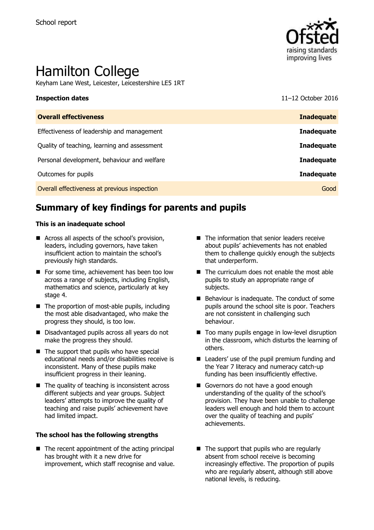

# Hamilton College

Keyham Lane West, Leicester, Leicestershire LE5 1RT

**Inspection dates** 11–12 October 2016

| <b>Overall effectiveness</b>                 | <b>Inadequate</b> |
|----------------------------------------------|-------------------|
| Effectiveness of leadership and management   | <b>Inadequate</b> |
| Quality of teaching, learning and assessment | <b>Inadequate</b> |
| Personal development, behaviour and welfare  | <b>Inadequate</b> |
| Outcomes for pupils                          | <b>Inadequate</b> |
| Overall effectiveness at previous inspection | Good              |
|                                              |                   |

# **Summary of key findings for parents and pupils**

#### **This is an inadequate school**

- Across all aspects of the school's provision, leaders, including governors, have taken insufficient action to maintain the school's previously high standards.
- For some time, achievement has been too low across a range of subjects, including English, mathematics and science, particularly at key stage 4.
- $\blacksquare$  The proportion of most-able pupils, including the most able disadvantaged, who make the progress they should, is too low.
- Disadvantaged pupils across all years do not make the progress they should.
- $\blacksquare$  The support that pupils who have special educational needs and/or disabilities receive is inconsistent. Many of these pupils make insufficient progress in their leaning.
- $\blacksquare$  The quality of teaching is inconsistent across different subjects and year groups. Subject leaders' attempts to improve the quality of teaching and raise pupils' achievement have had limited impact.

#### **The school has the following strengths**

 $\blacksquare$  The recent appointment of the acting principal has brought with it a new drive for improvement, which staff recognise and value.

- The information that senior leaders receive about pupils' achievements has not enabled them to challenge quickly enough the subjects that underperform.
- $\blacksquare$  The curriculum does not enable the most able pupils to study an appropriate range of subjects.
- $\blacksquare$  Behaviour is inadequate. The conduct of some pupils around the school site is poor. Teachers are not consistent in challenging such behaviour.
- Too many pupils engage in low-level disruption in the classroom, which disturbs the learning of others.
- Leaders' use of the pupil premium funding and the Year 7 literacy and numeracy catch-up funding has been insufficiently effective.
- Governors do not have a good enough understanding of the quality of the school's provision. They have been unable to challenge leaders well enough and hold them to account over the quality of teaching and pupils' achievements.
- $\blacksquare$  The support that pupils who are regularly absent from school receive is becoming increasingly effective. The proportion of pupils who are regularly absent, although still above national levels, is reducing.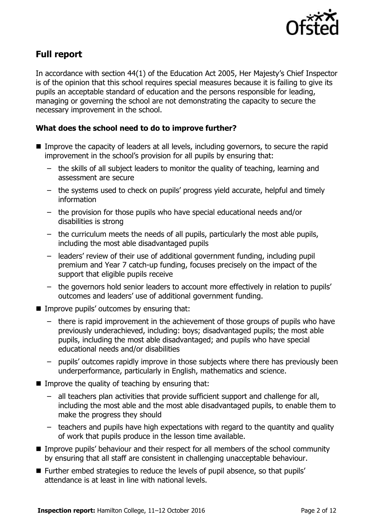

# **Full report**

In accordance with section 44(1) of the Education Act 2005, Her Majesty's Chief Inspector is of the opinion that this school requires special measures because it is failing to give its pupils an acceptable standard of education and the persons responsible for leading, managing or governing the school are not demonstrating the capacity to secure the necessary improvement in the school.

### **What does the school need to do to improve further?**

- **IMPROVE THE CAPACITY OF LEADER STATE III** levels, including governors, to secure the rapid improvement in the school's provision for all pupils by ensuring that:
	- the skills of all subject leaders to monitor the quality of teaching, learning and assessment are secure
	- the systems used to check on pupils' progress yield accurate, helpful and timely information
	- the provision for those pupils who have special educational needs and/or disabilities is strong
	- the curriculum meets the needs of all pupils, particularly the most able pupils, including the most able disadvantaged pupils
	- leaders' review of their use of additional government funding, including pupil premium and Year 7 catch-up funding, focuses precisely on the impact of the support that eligible pupils receive
	- the governors hold senior leaders to account more effectively in relation to pupils' outcomes and leaders' use of additional government funding.
- $\blacksquare$  Improve pupils' outcomes by ensuring that:
	- there is rapid improvement in the achievement of those groups of pupils who have previously underachieved, including: boys; disadvantaged pupils; the most able pupils, including the most able disadvantaged; and pupils who have special educational needs and/or disabilities
	- pupils' outcomes rapidly improve in those subjects where there has previously been underperformance, particularly in English, mathematics and science.
- $\blacksquare$  Improve the quality of teaching by ensuring that:
	- all teachers plan activities that provide sufficient support and challenge for all, including the most able and the most able disadvantaged pupils, to enable them to make the progress they should
	- teachers and pupils have high expectations with regard to the quantity and quality of work that pupils produce in the lesson time available.
- **IMPROVE PUPILS' behaviour and their respect for all members of the school community** by ensuring that all staff are consistent in challenging unacceptable behaviour.
- Further embed strategies to reduce the levels of pupil absence, so that pupils' attendance is at least in line with national levels.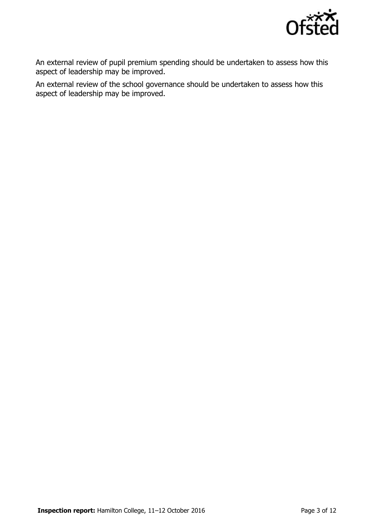

An external review of pupil premium spending should be undertaken to assess how this aspect of leadership may be improved.

An external review of the school governance should be undertaken to assess how this aspect of leadership may be improved.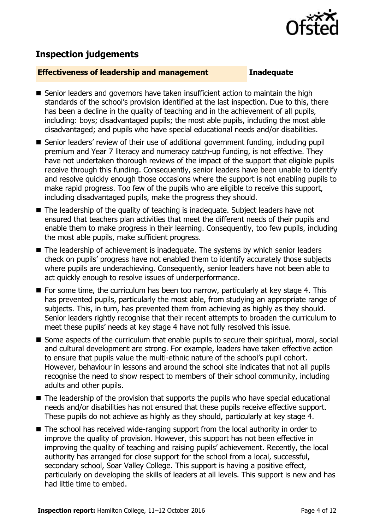

# **Inspection judgements**

#### **Effectiveness of leadership and management Inadequate**

- Senior leaders and governors have taken insufficient action to maintain the high standards of the school's provision identified at the last inspection. Due to this, there has been a decline in the quality of teaching and in the achievement of all pupils, including: boys; disadvantaged pupils; the most able pupils, including the most able disadvantaged; and pupils who have special educational needs and/or disabilities.
- Senior leaders' review of their use of additional government funding, including pupil premium and Year 7 literacy and numeracy catch-up funding, is not effective. They have not undertaken thorough reviews of the impact of the support that eligible pupils receive through this funding. Consequently, senior leaders have been unable to identify and resolve quickly enough those occasions where the support is not enabling pupils to make rapid progress. Too few of the pupils who are eligible to receive this support, including disadvantaged pupils, make the progress they should.
- The leadership of the quality of teaching is inadequate. Subject leaders have not ensured that teachers plan activities that meet the different needs of their pupils and enable them to make progress in their learning. Consequently, too few pupils, including the most able pupils, make sufficient progress.
- The leadership of achievement is inadequate. The systems by which senior leaders check on pupils' progress have not enabled them to identify accurately those subjects where pupils are underachieving. Consequently, senior leaders have not been able to act quickly enough to resolve issues of underperformance.
- $\blacksquare$  For some time, the curriculum has been too narrow, particularly at key stage 4. This has prevented pupils, particularly the most able, from studying an appropriate range of subjects. This, in turn, has prevented them from achieving as highly as they should. Senior leaders rightly recognise that their recent attempts to broaden the curriculum to meet these pupils' needs at key stage 4 have not fully resolved this issue.
- Some aspects of the curriculum that enable pupils to secure their spiritual, moral, social and cultural development are strong. For example, leaders have taken effective action to ensure that pupils value the multi-ethnic nature of the school's pupil cohort. However, behaviour in lessons and around the school site indicates that not all pupils recognise the need to show respect to members of their school community, including adults and other pupils.
- The leadership of the provision that supports the pupils who have special educational needs and/or disabilities has not ensured that these pupils receive effective support. These pupils do not achieve as highly as they should, particularly at key stage 4.
- The school has received wide-ranging support from the local authority in order to improve the quality of provision. However, this support has not been effective in improving the quality of teaching and raising pupils' achievement. Recently, the local authority has arranged for close support for the school from a local, successful, secondary school, Soar Valley College. This support is having a positive effect, particularly on developing the skills of leaders at all levels. This support is new and has had little time to embed.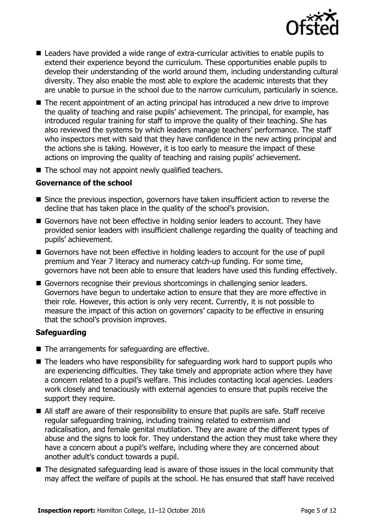

- Leaders have provided a wide range of extra-curricular activities to enable pupils to extend their experience beyond the curriculum. These opportunities enable pupils to develop their understanding of the world around them, including understanding cultural diversity. They also enable the most able to explore the academic interests that they are unable to pursue in the school due to the narrow curriculum, particularly in science.
- The recent appointment of an acting principal has introduced a new drive to improve the quality of teaching and raise pupils' achievement. The principal, for example, has introduced regular training for staff to improve the quality of their teaching. She has also reviewed the systems by which leaders manage teachers' performance. The staff who inspectors met with said that they have confidence in the new acting principal and the actions she is taking. However, it is too early to measure the impact of these actions on improving the quality of teaching and raising pupils' achievement.
- $\blacksquare$  The school may not appoint newly qualified teachers.

### **Governance of the school**

- Since the previous inspection, governors have taken insufficient action to reverse the decline that has taken place in the quality of the school's provision.
- Governors have not been effective in holding senior leaders to account. They have provided senior leaders with insufficient challenge regarding the quality of teaching and pupils' achievement.
- Governors have not been effective in holding leaders to account for the use of pupil premium and Year 7 literacy and numeracy catch-up funding. For some time, governors have not been able to ensure that leaders have used this funding effectively.
- Governors recognise their previous shortcomings in challenging senior leaders. Governors have begun to undertake action to ensure that they are more effective in their role. However, this action is only very recent. Currently, it is not possible to measure the impact of this action on governors' capacity to be effective in ensuring that the school's provision improves.

#### **Safeguarding**

- $\blacksquare$  The arrangements for safeguarding are effective.
- The leaders who have responsibility for safeguarding work hard to support pupils who are experiencing difficulties. They take timely and appropriate action where they have a concern related to a pupil's welfare. This includes contacting local agencies. Leaders work closely and tenaciously with external agencies to ensure that pupils receive the support they require.
- All staff are aware of their responsibility to ensure that pupils are safe. Staff receive regular safeguarding training, including training related to extremism and radicalisation, and female genital mutilation. They are aware of the different types of abuse and the signs to look for. They understand the action they must take where they have a concern about a pupil's welfare, including where they are concerned about another adult's conduct towards a pupil.
- The designated safeguarding lead is aware of those issues in the local community that may affect the welfare of pupils at the school. He has ensured that staff have received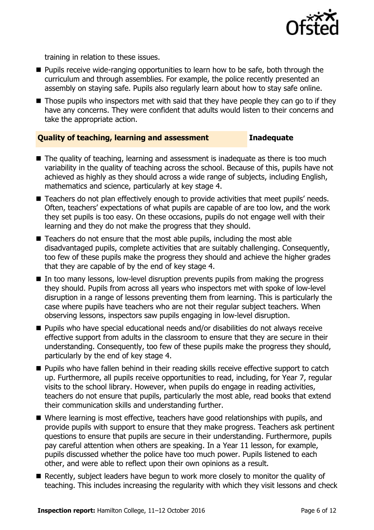

training in relation to these issues.

- **Pupils receive wide-ranging opportunities to learn how to be safe, both through the** curriculum and through assemblies. For example, the police recently presented an assembly on staying safe. Pupils also regularly learn about how to stay safe online.
- Those pupils who inspectors met with said that they have people they can go to if they have any concerns. They were confident that adults would listen to their concerns and take the appropriate action.

### **Quality of teaching, learning and assessment Inadequate**

- The quality of teaching, learning and assessment is inadequate as there is too much variability in the quality of teaching across the school. Because of this, pupils have not achieved as highly as they should across a wide range of subjects, including English, mathematics and science, particularly at key stage 4.
- Teachers do not plan effectively enough to provide activities that meet pupils' needs. Often, teachers' expectations of what pupils are capable of are too low, and the work they set pupils is too easy. On these occasions, pupils do not engage well with their learning and they do not make the progress that they should.
- Teachers do not ensure that the most able pupils, including the most able disadvantaged pupils, complete activities that are suitably challenging. Consequently, too few of these pupils make the progress they should and achieve the higher grades that they are capable of by the end of key stage 4.
- In too many lessons, low-level disruption prevents pupils from making the progress they should. Pupils from across all years who inspectors met with spoke of low-level disruption in a range of lessons preventing them from learning. This is particularly the case where pupils have teachers who are not their regular subject teachers. When observing lessons, inspectors saw pupils engaging in low-level disruption.
- Pupils who have special educational needs and/or disabilities do not always receive effective support from adults in the classroom to ensure that they are secure in their understanding. Consequently, too few of these pupils make the progress they should, particularly by the end of key stage 4.
- **Pupils who have fallen behind in their reading skills receive effective support to catch** up. Furthermore, all pupils receive opportunities to read, including, for Year 7, regular visits to the school library. However, when pupils do engage in reading activities, teachers do not ensure that pupils, particularly the most able, read books that extend their communication skills and understanding further.
- Where learning is most effective, teachers have good relationships with pupils, and provide pupils with support to ensure that they make progress. Teachers ask pertinent questions to ensure that pupils are secure in their understanding. Furthermore, pupils pay careful attention when others are speaking. In a Year 11 lesson, for example, pupils discussed whether the police have too much power. Pupils listened to each other, and were able to reflect upon their own opinions as a result.
- Recently, subject leaders have begun to work more closely to monitor the quality of teaching. This includes increasing the regularity with which they visit lessons and check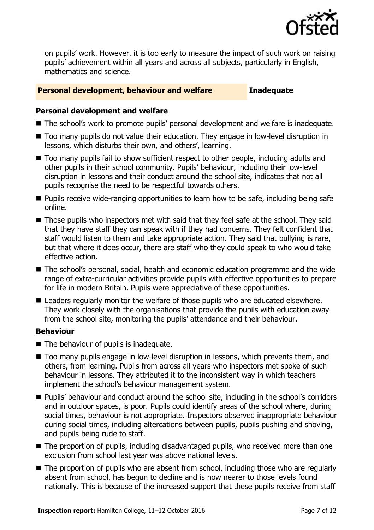

on pupils' work. However, it is too early to measure the impact of such work on raising pupils' achievement within all years and across all subjects, particularly in English, mathematics and science.

#### **Personal development, behaviour and welfare Inadequate**

#### **Personal development and welfare**

- The school's work to promote pupils' personal development and welfare is inadequate.
- Too many pupils do not value their education. They engage in low-level disruption in lessons, which disturbs their own, and others', learning.
- Too many pupils fail to show sufficient respect to other people, including adults and other pupils in their school community. Pupils' behaviour, including their low-level disruption in lessons and their conduct around the school site, indicates that not all pupils recognise the need to be respectful towards others.
- **Pupils receive wide-ranging opportunities to learn how to be safe, including being safe** online.
- $\blacksquare$  Those pupils who inspectors met with said that they feel safe at the school. They said that they have staff they can speak with if they had concerns. They felt confident that staff would listen to them and take appropriate action. They said that bullying is rare, but that where it does occur, there are staff who they could speak to who would take effective action.
- The school's personal, social, health and economic education programme and the wide range of extra-curricular activities provide pupils with effective opportunities to prepare for life in modern Britain. Pupils were appreciative of these opportunities.
- Leaders regularly monitor the welfare of those pupils who are educated elsewhere. They work closely with the organisations that provide the pupils with education away from the school site, monitoring the pupils' attendance and their behaviour.

#### **Behaviour**

- $\blacksquare$  The behaviour of pupils is inadequate.
- Too many pupils engage in low-level disruption in lessons, which prevents them, and others, from learning. Pupils from across all years who inspectors met spoke of such behaviour in lessons. They attributed it to the inconsistent way in which teachers implement the school's behaviour management system.
- **Pupils' behaviour and conduct around the school site, including in the school's corridors** and in outdoor spaces, is poor. Pupils could identify areas of the school where, during social times, behaviour is not appropriate. Inspectors observed inappropriate behaviour during social times, including altercations between pupils, pupils pushing and shoving, and pupils being rude to staff.
- The proportion of pupils, including disadvantaged pupils, who received more than one exclusion from school last year was above national levels.
- The proportion of pupils who are absent from school, including those who are regularly absent from school, has begun to decline and is now nearer to those levels found nationally. This is because of the increased support that these pupils receive from staff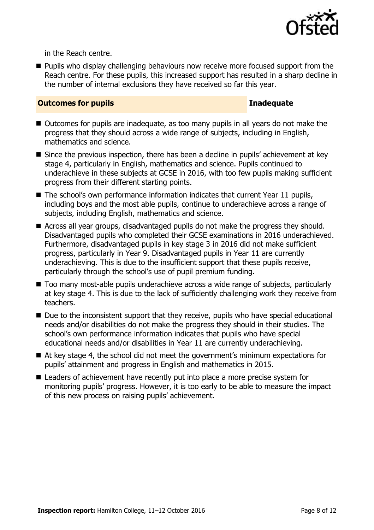

in the Reach centre.

**Pupils who display challenging behaviours now receive more focused support from the** Reach centre. For these pupils, this increased support has resulted in a sharp decline in the number of internal exclusions they have received so far this year.

#### **Outcomes for pupils Inadequate**

- Outcomes for pupils are inadequate, as too many pupils in all years do not make the progress that they should across a wide range of subjects, including in English, mathematics and science.
- Since the previous inspection, there has been a decline in pupils' achievement at key stage 4, particularly in English, mathematics and science. Pupils continued to underachieve in these subjects at GCSE in 2016, with too few pupils making sufficient progress from their different starting points.
- $\blacksquare$  The school's own performance information indicates that current Year 11 pupils, including boys and the most able pupils, continue to underachieve across a range of subjects, including English, mathematics and science.
- Across all year groups, disadvantaged pupils do not make the progress they should. Disadvantaged pupils who completed their GCSE examinations in 2016 underachieved. Furthermore, disadvantaged pupils in key stage 3 in 2016 did not make sufficient progress, particularly in Year 9. Disadvantaged pupils in Year 11 are currently underachieving. This is due to the insufficient support that these pupils receive, particularly through the school's use of pupil premium funding.
- Too many most-able pupils underachieve across a wide range of subjects, particularly at key stage 4. This is due to the lack of sufficiently challenging work they receive from teachers.
- $\blacksquare$  Due to the inconsistent support that they receive, pupils who have special educational needs and/or disabilities do not make the progress they should in their studies. The school's own performance information indicates that pupils who have special educational needs and/or disabilities in Year 11 are currently underachieving.
- At key stage 4, the school did not meet the government's minimum expectations for pupils' attainment and progress in English and mathematics in 2015.
- Leaders of achievement have recently put into place a more precise system for monitoring pupils' progress. However, it is too early to be able to measure the impact of this new process on raising pupils' achievement.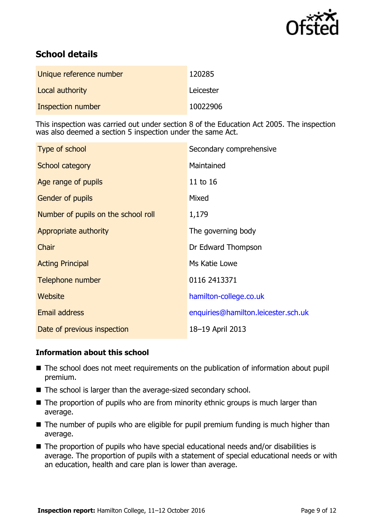

# **School details**

| Unique reference number | 120285    |
|-------------------------|-----------|
| Local authority         | Leicester |
| Inspection number       | 10022906  |

This inspection was carried out under section 8 of the Education Act 2005. The inspection was also deemed a section 5 inspection under the same Act.

| Type of school                      | Secondary comprehensive             |
|-------------------------------------|-------------------------------------|
| School category                     | Maintained                          |
| Age range of pupils                 | 11 to 16                            |
| Gender of pupils                    | Mixed                               |
| Number of pupils on the school roll | 1,179                               |
| Appropriate authority               | The governing body                  |
| Chair                               | Dr Edward Thompson                  |
| <b>Acting Principal</b>             | Ms Katie Lowe                       |
| Telephone number                    | 0116 2413371                        |
| <b>Website</b>                      | hamilton-college.co.uk              |
| <b>Email address</b>                | enquiries@hamilton.leicester.sch.uk |
| Date of previous inspection         | 18-19 April 2013                    |

### **Information about this school**

- The school does not meet requirements on the publication of information about pupil premium.
- The school is larger than the average-sized secondary school.
- $\blacksquare$  The proportion of pupils who are from minority ethnic groups is much larger than average.
- The number of pupils who are eligible for pupil premium funding is much higher than average.
- The proportion of pupils who have special educational needs and/or disabilities is average. The proportion of pupils with a statement of special educational needs or with an education, health and care plan is lower than average.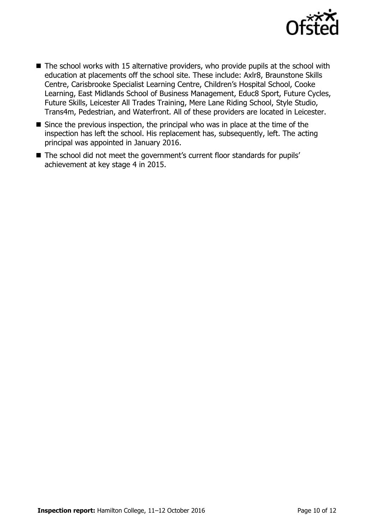

- $\blacksquare$  The school works with 15 alternative providers, who provide pupils at the school with education at placements off the school site. These include: Axlr8, Braunstone Skills Centre, Carisbrooke Specialist Learning Centre, Children's Hospital School, Cooke Learning, East Midlands School of Business Management, Educ8 Sport, Future Cycles, Future Skills, Leicester All Trades Training, Mere Lane Riding School, Style Studio, Trans4m, Pedestrian, and Waterfront. All of these providers are located in Leicester.
- $\blacksquare$  Since the previous inspection, the principal who was in place at the time of the inspection has left the school. His replacement has, subsequently, left. The acting principal was appointed in January 2016.
- The school did not meet the government's current floor standards for pupils' achievement at key stage 4 in 2015.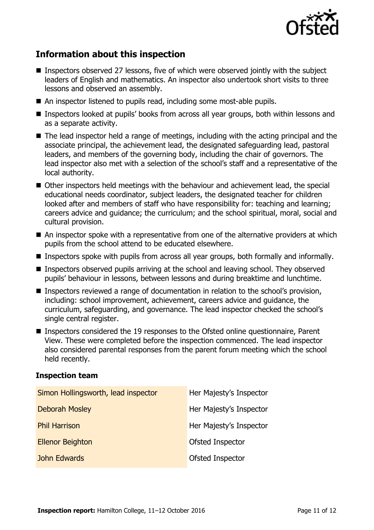

# **Information about this inspection**

- **Inspectors observed 27 lessons, five of which were observed jointly with the subject** leaders of English and mathematics. An inspector also undertook short visits to three lessons and observed an assembly.
- An inspector listened to pupils read, including some most-able pupils.
- Inspectors looked at pupils' books from across all year groups, both within lessons and as a separate activity.
- The lead inspector held a range of meetings, including with the acting principal and the associate principal, the achievement lead, the designated safeguarding lead, pastoral leaders, and members of the governing body, including the chair of governors. The lead inspector also met with a selection of the school's staff and a representative of the local authority.
- Other inspectors held meetings with the behaviour and achievement lead, the special educational needs coordinator, subject leaders, the designated teacher for children looked after and members of staff who have responsibility for: teaching and learning; careers advice and guidance; the curriculum; and the school spiritual, moral, social and cultural provision.
- An inspector spoke with a representative from one of the alternative providers at which pupils from the school attend to be educated elsewhere.
- **Inspectors spoke with pupils from across all year groups, both formally and informally.**
- Inspectors observed pupils arriving at the school and leaving school. They observed pupils' behaviour in lessons, between lessons and during breaktime and lunchtime.
- **Inspectors reviewed a range of documentation in relation to the school's provision,** including: school improvement, achievement, careers advice and guidance, the curriculum, safeguarding, and governance. The lead inspector checked the school's single central register.
- Inspectors considered the 19 responses to the Ofsted online questionnaire, Parent View. These were completed before the inspection commenced. The lead inspector also considered parental responses from the parent forum meeting which the school held recently.

#### **Inspection team**

| Simon Hollingsworth, lead inspector | Her Majesty's Inspector |
|-------------------------------------|-------------------------|
| <b>Deborah Mosley</b>               | Her Majesty's Inspector |
| <b>Phil Harrison</b>                | Her Majesty's Inspector |
| <b>Ellenor Beighton</b>             | Ofsted Inspector        |
| John Edwards                        | Ofsted Inspector        |